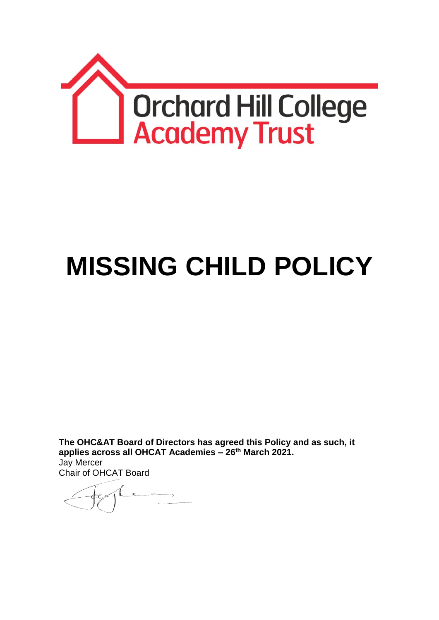

# **MISSING CHILD POLICY**

**The OHC&AT Board of Directors has agreed this Policy and as such, it applies across all OHCAT Academies – 26th March 2021.** Jay Mercer Chair of OHCAT Board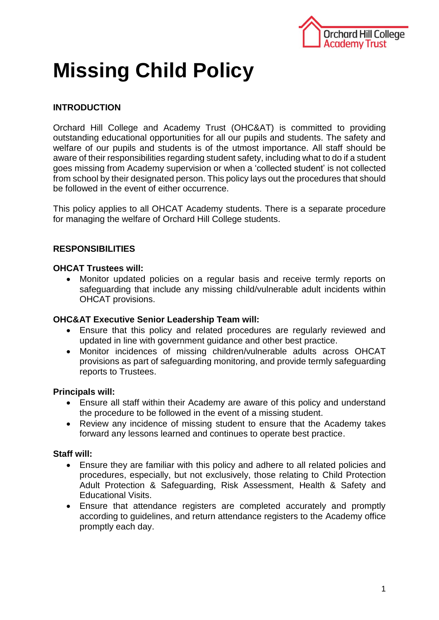

# **Missing Child Policy**

# **INTRODUCTION**

Orchard Hill College and Academy Trust (OHC&AT) is committed to providing outstanding educational opportunities for all our pupils and students. The safety and welfare of our pupils and students is of the utmost importance. All staff should be aware of their responsibilities regarding student safety, including what to do if a student goes missing from Academy supervision or when a 'collected student' is not collected from school by their designated person. This policy lays out the procedures that should be followed in the event of either occurrence.

This policy applies to all OHCAT Academy students. There is a separate procedure for managing the welfare of Orchard Hill College students.

# **RESPONSIBILITIES**

#### **OHCAT Trustees will:**

 Monitor updated policies on a regular basis and receive termly reports on safeguarding that include any missing child/vulnerable adult incidents within OHCAT provisions.

#### **OHC&AT Executive Senior Leadership Team will:**

- Ensure that this policy and related procedures are regularly reviewed and updated in line with government guidance and other best practice.
- Monitor incidences of missing children/vulnerable adults across OHCAT provisions as part of safeguarding monitoring, and provide termly safeguarding reports to Trustees.

### **Principals will:**

- Ensure all staff within their Academy are aware of this policy and understand the procedure to be followed in the event of a missing student.
- Review any incidence of missing student to ensure that the Academy takes forward any lessons learned and continues to operate best practice.

### **Staff will:**

- Ensure they are familiar with this policy and adhere to all related policies and procedures, especially, but not exclusively, those relating to Child Protection Adult Protection & Safeguarding, Risk Assessment, Health & Safety and Educational Visits.
- Ensure that attendance registers are completed accurately and promptly according to guidelines, and return attendance registers to the Academy office promptly each day.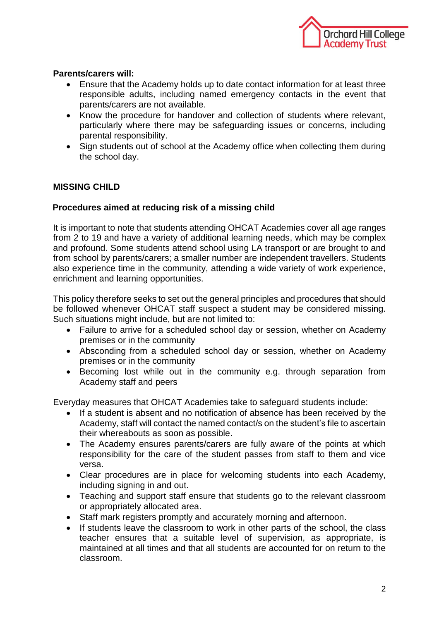

### **Parents/carers will:**

- Ensure that the Academy holds up to date contact information for at least three responsible adults, including named emergency contacts in the event that parents/carers are not available.
- Know the procedure for handover and collection of students where relevant, particularly where there may be safeguarding issues or concerns, including parental responsibility.
- Sign students out of school at the Academy office when collecting them during the school day.

# **MISSING CHILD**

### **Procedures aimed at reducing risk of a missing child**

It is important to note that students attending OHCAT Academies cover all age ranges from 2 to 19 and have a variety of additional learning needs, which may be complex and profound. Some students attend school using LA transport or are brought to and from school by parents/carers; a smaller number are independent travellers. Students also experience time in the community, attending a wide variety of work experience, enrichment and learning opportunities.

This policy therefore seeks to set out the general principles and procedures that should be followed whenever OHCAT staff suspect a student may be considered missing. Such situations might include, but are not limited to:

- Failure to arrive for a scheduled school day or session, whether on Academy premises or in the community
- Absconding from a scheduled school day or session, whether on Academy premises or in the community
- Becoming lost while out in the community e.g. through separation from Academy staff and peers

Everyday measures that OHCAT Academies take to safeguard students include:

- If a student is absent and no notification of absence has been received by the Academy, staff will contact the named contact/s on the student's file to ascertain their whereabouts as soon as possible.
- The Academy ensures parents/carers are fully aware of the points at which responsibility for the care of the student passes from staff to them and vice versa.
- Clear procedures are in place for welcoming students into each Academy, including signing in and out.
- Teaching and support staff ensure that students go to the relevant classroom or appropriately allocated area.
- Staff mark registers promptly and accurately morning and afternoon.
- If students leave the classroom to work in other parts of the school, the class teacher ensures that a suitable level of supervision, as appropriate, is maintained at all times and that all students are accounted for on return to the classroom.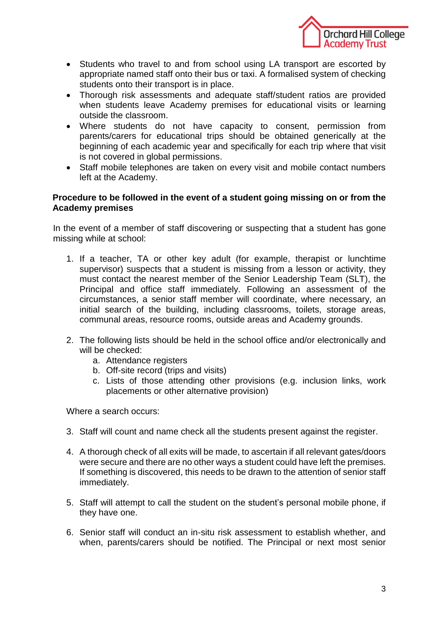

- Students who travel to and from school using LA transport are escorted by appropriate named staff onto their bus or taxi. A formalised system of checking students onto their transport is in place.
- Thorough risk assessments and adequate staff/student ratios are provided when students leave Academy premises for educational visits or learning outside the classroom.
- Where students do not have capacity to consent, permission from parents/carers for educational trips should be obtained generically at the beginning of each academic year and specifically for each trip where that visit is not covered in global permissions.
- Staff mobile telephones are taken on every visit and mobile contact numbers left at the Academy.

#### **Procedure to be followed in the event of a student going missing on or from the Academy premises**

In the event of a member of staff discovering or suspecting that a student has gone missing while at school:

- 1. If a teacher, TA or other key adult (for example, therapist or lunchtime supervisor) suspects that a student is missing from a lesson or activity, they must contact the nearest member of the Senior Leadership Team (SLT), the Principal and office staff immediately. Following an assessment of the circumstances, a senior staff member will coordinate, where necessary, an initial search of the building, including classrooms, toilets, storage areas, communal areas, resource rooms, outside areas and Academy grounds.
- 2. The following lists should be held in the school office and/or electronically and will be checked:
	- a. Attendance registers
	- b. Off-site record (trips and visits)
	- c. Lists of those attending other provisions (e.g. inclusion links, work placements or other alternative provision)

Where a search occurs:

- 3. Staff will count and name check all the students present against the register.
- 4. A thorough check of all exits will be made, to ascertain if all relevant gates/doors were secure and there are no other ways a student could have left the premises. If something is discovered, this needs to be drawn to the attention of senior staff immediately.
- 5. Staff will attempt to call the student on the student's personal mobile phone, if they have one.
- 6. Senior staff will conduct an in-situ risk assessment to establish whether, and when, parents/carers should be notified. The Principal or next most senior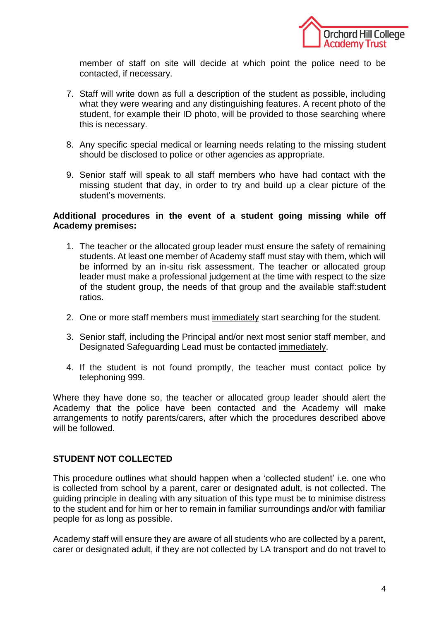

member of staff on site will decide at which point the police need to be contacted, if necessary.

- 7. Staff will write down as full a description of the student as possible, including what they were wearing and any distinguishing features. A recent photo of the student, for example their ID photo, will be provided to those searching where this is necessary.
- 8. Any specific special medical or learning needs relating to the missing student should be disclosed to police or other agencies as appropriate.
- 9. Senior staff will speak to all staff members who have had contact with the missing student that day, in order to try and build up a clear picture of the student's movements.

#### **Additional procedures in the event of a student going missing while off Academy premises:**

- 1. The teacher or the allocated group leader must ensure the safety of remaining students. At least one member of Academy staff must stay with them, which will be informed by an in-situ risk assessment. The teacher or allocated group leader must make a professional judgement at the time with respect to the size of the student group, the needs of that group and the available staff:student ratios.
- 2. One or more staff members must immediately start searching for the student.
- 3. Senior staff, including the Principal and/or next most senior staff member, and Designated Safeguarding Lead must be contacted immediately.
- 4. If the student is not found promptly, the teacher must contact police by telephoning 999.

Where they have done so, the teacher or allocated group leader should alert the Academy that the police have been contacted and the Academy will make arrangements to notify parents/carers, after which the procedures described above will be followed.

### **STUDENT NOT COLLECTED**

This procedure outlines what should happen when a 'collected student' i.e. one who is collected from school by a parent, carer or designated adult, is not collected. The guiding principle in dealing with any situation of this type must be to minimise distress to the student and for him or her to remain in familiar surroundings and/or with familiar people for as long as possible.

Academy staff will ensure they are aware of all students who are collected by a parent, carer or designated adult, if they are not collected by LA transport and do not travel to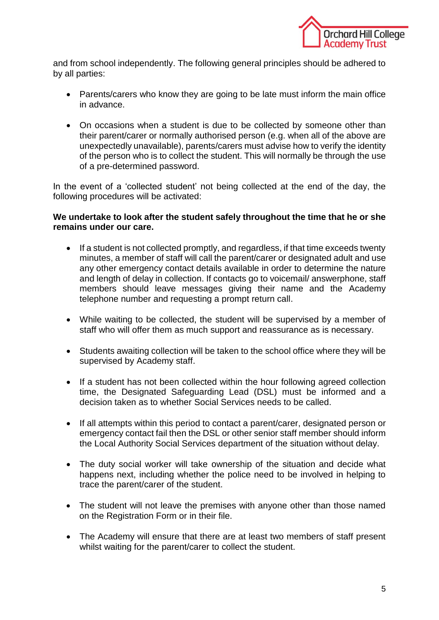

and from school independently. The following general principles should be adhered to by all parties:

- Parents/carers who know they are going to be late must inform the main office in advance.
- On occasions when a student is due to be collected by someone other than their parent/carer or normally authorised person (e.g. when all of the above are unexpectedly unavailable), parents/carers must advise how to verify the identity of the person who is to collect the student. This will normally be through the use of a pre-determined password.

In the event of a 'collected student' not being collected at the end of the day, the following procedures will be activated:

#### **We undertake to look after the student safely throughout the time that he or she remains under our care.**

- If a student is not collected promptly, and regardless, if that time exceeds twenty minutes, a member of staff will call the parent/carer or designated adult and use any other emergency contact details available in order to determine the nature and length of delay in collection. If contacts go to voicemail/ answerphone, staff members should leave messages giving their name and the Academy telephone number and requesting a prompt return call.
- While waiting to be collected, the student will be supervised by a member of staff who will offer them as much support and reassurance as is necessary.
- Students awaiting collection will be taken to the school office where they will be supervised by Academy staff.
- If a student has not been collected within the hour following agreed collection time, the Designated Safeguarding Lead (DSL) must be informed and a decision taken as to whether Social Services needs to be called.
- If all attempts within this period to contact a parent/carer, designated person or emergency contact fail then the DSL or other senior staff member should inform the Local Authority Social Services department of the situation without delay.
- The duty social worker will take ownership of the situation and decide what happens next, including whether the police need to be involved in helping to trace the parent/carer of the student.
- The student will not leave the premises with anyone other than those named on the Registration Form or in their file.
- The Academy will ensure that there are at least two members of staff present whilst waiting for the parent/carer to collect the student.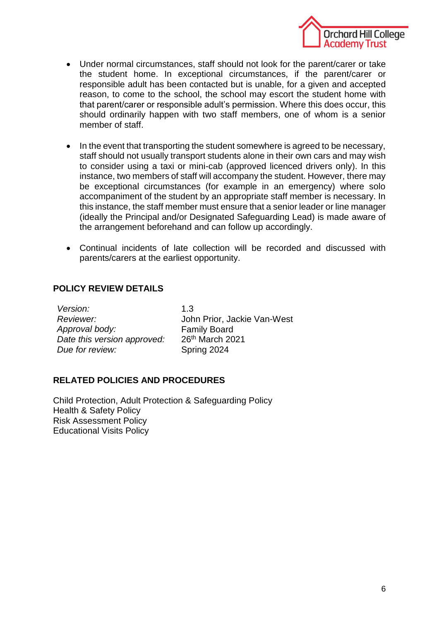

- Under normal circumstances, staff should not look for the parent/carer or take the student home. In exceptional circumstances, if the parent/carer or responsible adult has been contacted but is unable, for a given and accepted reason, to come to the school, the school may escort the student home with that parent/carer or responsible adult's permission. Where this does occur, this should ordinarily happen with two staff members, one of whom is a senior member of staff.
- In the event that transporting the student somewhere is agreed to be necessary, staff should not usually transport students alone in their own cars and may wish to consider using a taxi or mini-cab (approved licenced drivers only). In this instance, two members of staff will accompany the student. However, there may be exceptional circumstances (for example in an emergency) where solo accompaniment of the student by an appropriate staff member is necessary. In this instance, the staff member must ensure that a senior leader or line manager (ideally the Principal and/or Designated Safeguarding Lead) is made aware of the arrangement beforehand and can follow up accordingly.
- Continual incidents of late collection will be recorded and discussed with parents/carers at the earliest opportunity.

# **POLICY REVIEW DETAILS**

| Version:                    | 1.3                         |  |
|-----------------------------|-----------------------------|--|
| Reviewer:                   | John Prior, Jackie Van-West |  |
| Approval body:              | <b>Family Board</b>         |  |
| Date this version approved: | 26th March 2021             |  |
| Due for review:             | Spring 2024                 |  |

### **RELATED POLICIES AND PROCEDURES**

Child Protection, Adult Protection & Safeguarding Policy Health & Safety Policy Risk Assessment Policy Educational Visits Policy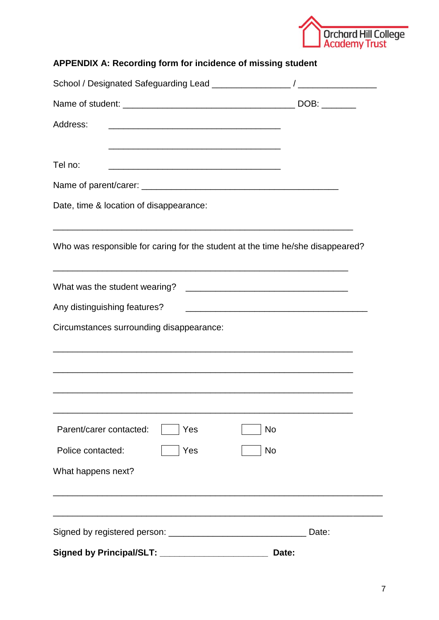

| APPENDIX A: Recording form for incidence of missing student                                                                     |           |  |  |
|---------------------------------------------------------------------------------------------------------------------------------|-----------|--|--|
|                                                                                                                                 |           |  |  |
|                                                                                                                                 |           |  |  |
| Address:                                                                                                                        |           |  |  |
|                                                                                                                                 |           |  |  |
| Tel no:<br><u> 2000 - Jan James James Jan James James James James James James James James James James James James James Jam</u> |           |  |  |
|                                                                                                                                 |           |  |  |
| Date, time & location of disappearance:<br>Who was responsible for caring for the student at the time he/she disappeared?       |           |  |  |
|                                                                                                                                 |           |  |  |
| Circumstances surrounding disappearance:                                                                                        |           |  |  |
|                                                                                                                                 |           |  |  |
|                                                                                                                                 |           |  |  |
|                                                                                                                                 |           |  |  |
|                                                                                                                                 |           |  |  |
| Parent/carer contacted:<br>Yes                                                                                                  | No        |  |  |
| Police contacted:<br>Yes                                                                                                        | <b>No</b> |  |  |
| What happens next?                                                                                                              |           |  |  |
|                                                                                                                                 | Date:     |  |  |
| <b>Signed by Principal/SLT:</b>                                                                                                 | Date:     |  |  |
|                                                                                                                                 |           |  |  |